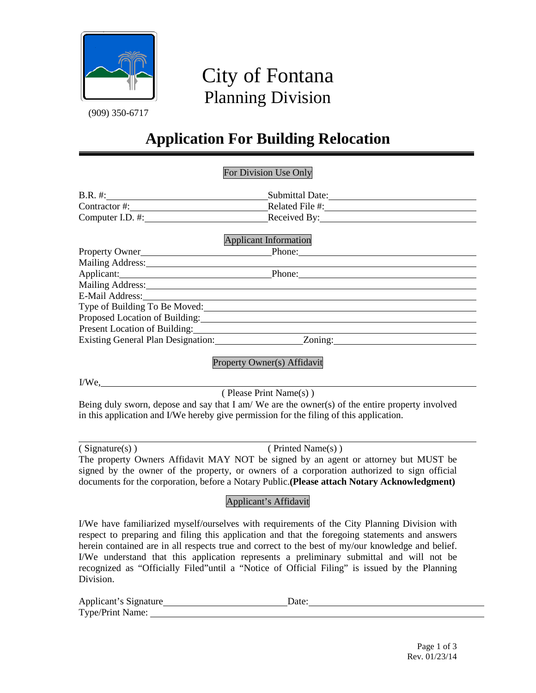

# City of Fontana  $\frac{1}{(909) 350-6717}$  Planning Division

## **Application For Building Relocation**

#### For Division Use Only

| B.R. #:          | Submittal Date: |  |
|------------------|-----------------|--|
| Contractor #:    | Related File #: |  |
| Computer I.D. #: | Received By:    |  |
|                  |                 |  |

|                                    | <b>Applicant Information</b> |  |
|------------------------------------|------------------------------|--|
| Property Owner Phone: Phone:       |                              |  |
| <b>Mailing Address:</b>            |                              |  |
| Applicant:                         | Phone:                       |  |
| Mailing Address:                   |                              |  |
| E-Mail Address:                    |                              |  |
| Type of Building To Be Moved:      |                              |  |
| Proposed Location of Building:     |                              |  |
| Present Location of Building:      |                              |  |
| Existing General Plan Designation: | Zoning:                      |  |

#### Property Owner(s) Affidavit

I/We,

( Please Print Name(s) )

Being duly sworn, depose and say that I am/ We are the owner(s) of the entire property involved in this application and I/We hereby give permission for the filing of this application.

| (Signature(s)) |  |
|----------------|--|

 $(Printed Name(s))$ 

The property Owners Affidavit MAY NOT be signed by an agent or attorney but MUST be signed by the owner of the property, or owners of a corporation authorized to sign official documents for the corporation, before a Notary Public.**(Please attach Notary Acknowledgment)**

### Applicant's Affidavit

I/We have familiarized myself/ourselves with requirements of the City Planning Division with respect to preparing and filing this application and that the foregoing statements and answers herein contained are in all respects true and correct to the best of my/our knowledge and belief. I/We understand that this application represents a preliminary submittal and will not be recognized as "Officially Filed"until a "Notice of Official Filing" is issued by the Planning Division.

| Applicant's Signature | Date: |
|-----------------------|-------|
| Type/Print Name:      |       |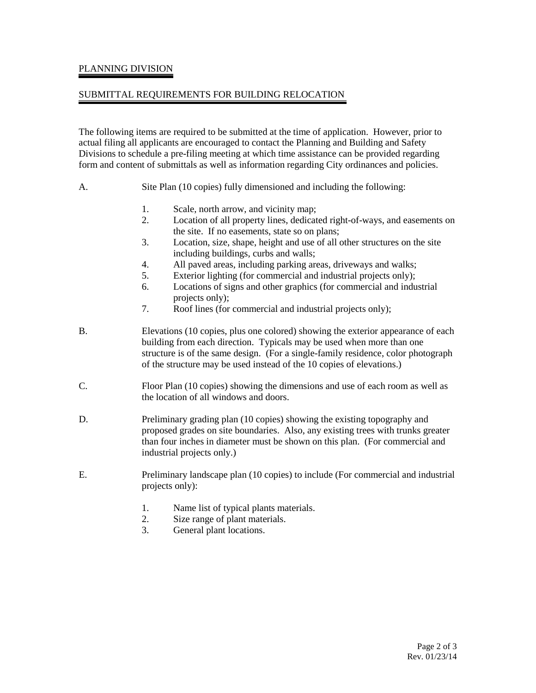#### PLANNING DIVISION

#### SUBMITTAL REQUIREMENTS FOR BUILDING RELOCATION

The following items are required to be submitted at the time of application. However, prior to actual filing all applicants are encouraged to contact the Planning and Building and Safety Divisions to schedule a pre-filing meeting at which time assistance can be provided regarding form and content of submittals as well as information regarding City ordinances and policies.

- A. Site Plan (10 copies) fully dimensioned and including the following:
	- 1. Scale, north arrow, and vicinity map;
	- 2. Location of all property lines, dedicated right-of-ways, and easements on the site. If no easements, state so on plans;
	- 3. Location, size, shape, height and use of all other structures on the site including buildings, curbs and walls;
	- 4. All paved areas, including parking areas, driveways and walks;
	- 5. Exterior lighting (for commercial and industrial projects only);
	- 6. Locations of signs and other graphics (for commercial and industrial projects only);
	- 7. Roof lines (for commercial and industrial projects only);
- B. Elevations (10 copies, plus one colored) showing the exterior appearance of each building from each direction. Typicals may be used when more than one structure is of the same design. (For a single-family residence, color photograph of the structure may be used instead of the 10 copies of elevations.)
- C. Floor Plan (10 copies) showing the dimensions and use of each room as well as the location of all windows and doors.
- D. Preliminary grading plan (10 copies) showing the existing topography and proposed grades on site boundaries. Also, any existing trees with trunks greater than four inches in diameter must be shown on this plan. (For commercial and industrial projects only.)
- E. Preliminary landscape plan (10 copies) to include (For commercial and industrial projects only):
	- 1. Name list of typical plants materials.
	- 2. Size range of plant materials.
	- 3. General plant locations.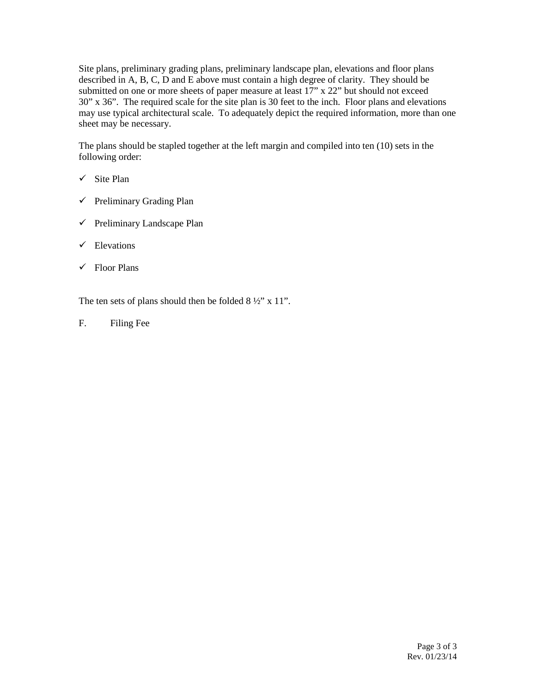Site plans, preliminary grading plans, preliminary landscape plan, elevations and floor plans described in A, B, C, D and E above must contain a high degree of clarity. They should be submitted on one or more sheets of paper measure at least 17" x 22" but should not exceed 30" x 36". The required scale for the site plan is 30 feet to the inch. Floor plans and elevations may use typical architectural scale. To adequately depict the required information, more than one sheet may be necessary.

The plans should be stapled together at the left margin and compiled into ten (10) sets in the following order:

- $\checkmark$  Site Plan
- $\checkmark$  Preliminary Grading Plan
- $\checkmark$  Preliminary Landscape Plan
- $\checkmark$  Elevations
- $\checkmark$  Floor Plans

The ten sets of plans should then be folded  $8\frac{1}{2}$ " x 11".

F. Filing Fee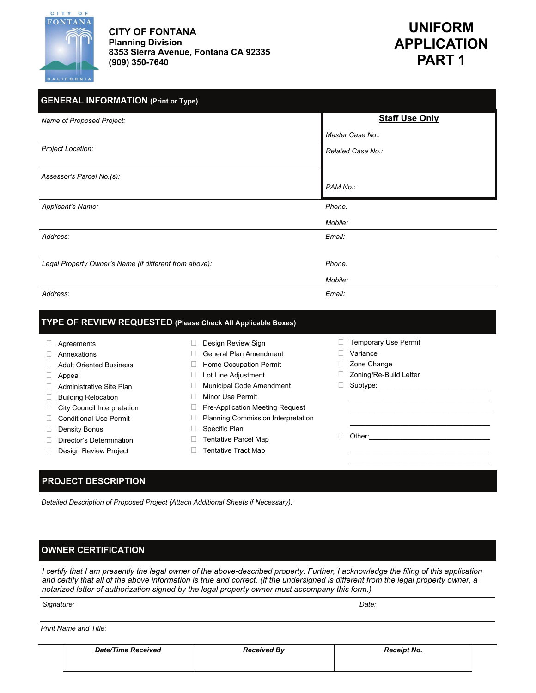

**CITY OF FONTANA Planning Division 8353 Sierra Avenue, Fontana CA 92335 (909) 350-7640** 

 **UNIFORM APPLICATION PART 1** 

| <b>GENERAL INFORMATION (Print or Type)</b>             |                       |  |  |
|--------------------------------------------------------|-----------------------|--|--|
| Name of Proposed Project:                              | <b>Staff Use Only</b> |  |  |
|                                                        | Master Case No.:      |  |  |
| Project Location:                                      | Related Case No.:     |  |  |
| Assessor's Parcel No.(s):                              |                       |  |  |
|                                                        | PAM No.:              |  |  |
| Applicant's Name:                                      | Phone:                |  |  |
|                                                        | Mobile:               |  |  |
| Address:                                               | Email:                |  |  |
|                                                        |                       |  |  |
| Legal Property Owner's Name (if different from above): | Phone:                |  |  |
|                                                        | Mobile:               |  |  |
| Address:                                               | Email:                |  |  |

#### **TYPE OF REVIEW REQUESTED (Please Check All Applicable Boxes)**

| Agreements                    | Design Review Sign                     | <b>Temporary Use Permit</b> |
|-------------------------------|----------------------------------------|-----------------------------|
| Annexations                   | General Plan Amendment                 | Variance                    |
| Adult Oriented Business       | Home Occupation Permit                 | Zone Change                 |
| $\Box$ Appeal                 | Lot Line Adjustment                    | Zoning/Re-Build Letter      |
| Administrative Site Plan      | <b>Municipal Code Amendment</b>        | Subtype:                    |
| <b>Building Relocation</b>    | Minor Use Permit                       |                             |
| City Council Interpretation   | <b>Pre-Application Meeting Request</b> |                             |
| <b>Conditional Use Permit</b> | Planning Commission Interpretation     |                             |
| Density Bonus                 | Specific Plan                          |                             |
| Director's Determination      | Tentative Parcel Map                   | Other:                      |
| <b>Design Review Project</b>  | Tentative Tract Map                    |                             |
|                               |                                        |                             |
|                               |                                        |                             |

#### **PROJECT DESCRIPTION**

*Detailed Description of Proposed Project (Attach Additional Sheets if Necessary):* 

#### **OWNER CERTIFICATION**

*I certify that I am presently the legal owner of the above-described property. Further, I acknowledge the filing of this application and certify that all of the above information is true and correct. (If the undersigned is different from the legal property owner, a notarized letter of authorization signed by the legal property owner must accompany this form.)* 

#### **Signature:** Date: **Date:**  $\blacksquare$

| Print Name and Title: |  |  |  |  |
|-----------------------|--|--|--|--|
|-----------------------|--|--|--|--|

| <b>Date/Time Received</b> | <b>Received By</b> | <b>Receipt No.</b> |  |
|---------------------------|--------------------|--------------------|--|
|                           |                    |                    |  |